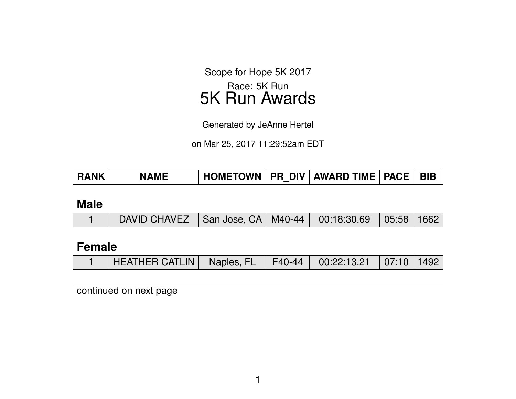Scope for Hope 5K 2017 Race: 5K Run 5K Run Awards

Generated by JeAnne Hertel

on Mar 25, 2017 11:29:52am EDT

| <b>HOMETOWN</b><br><b>RANK</b><br><b>NAME</b> | <b>BIB</b><br><b>PR DIV AWARD TIME PACE</b> |
|-----------------------------------------------|---------------------------------------------|
|-----------------------------------------------|---------------------------------------------|

#### **Male**

|  | DAVID CHAVEZ   San Jose, CA   M40-44   00:18:30.69   05:58   1662 |  |  |  |  |  |
|--|-------------------------------------------------------------------|--|--|--|--|--|
|--|-------------------------------------------------------------------|--|--|--|--|--|

### **Female**

|  | HEATHER CATLIN   Naples, FL   F40-44   00:22:13.21   07:10   1492 |  |  |  |  |  |
|--|-------------------------------------------------------------------|--|--|--|--|--|
|--|-------------------------------------------------------------------|--|--|--|--|--|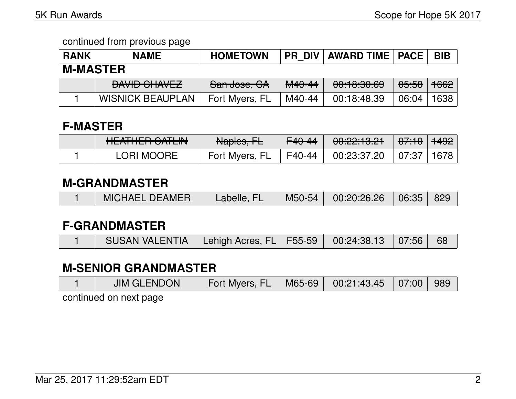| <b>RANK</b>     | <b>NAME</b>                   | <b>HOMETOWN</b>         |                   | <b>PR DIV   AWARD TIME   PACE  </b> |                  | <b>BIB</b>      |  |  |  |
|-----------------|-------------------------------|-------------------------|-------------------|-------------------------------------|------------------|-----------------|--|--|--|
| <b>M-MASTER</b> |                               |                         |                   |                                     |                  |                 |  |  |  |
|                 | DAVID CLIAVEZ<br>DAVID UHAVEZ | <del>San Jose, CA</del> | <del>M40-44</del> | 00:10:30.69                         | <del>05:58</del> | <del>1662</del> |  |  |  |
|                 | <b>WISNICK BEAUPLAN</b>       | Fort Myers, FL          | M40-44            | 00:18:48.39                         | 06:04            | 638             |  |  |  |

## **F-MASTER**

| $IITATIITD$ $\cap$ $\Lambda$<br><b>TILAITILIT VAILIN</b> | Naples, FL     | <del>F40-44</del> | <u>. AA.AA.19 A1</u><br>$\overline{UU}.$ $\overline{C}$ $\overline{C}.$ $\overline{U}$ $\overline{C}$ $\overline{C}$ | 0.710    | ່ <del>1492</del> ∣ |
|----------------------------------------------------------|----------------|-------------------|----------------------------------------------------------------------------------------------------------------------|----------|---------------------|
| <b>LORI MOORE</b>                                        | Fort Myers, FL | F40-44            | 00:23:37.20                                                                                                          | $+07:37$ | 1678                |

## **M-GRANDMASTER**

|  | MICHAEL DEAMER | Labelle, FL | M50-54 | $00:20:26.26$ $06:35$ 829 |  |  |
|--|----------------|-------------|--------|---------------------------|--|--|
|--|----------------|-------------|--------|---------------------------|--|--|

## **F-GRANDMASTER**

|  | SUSAN VALENTIA   Lehigh Acres, FL   F55-59   00:24:38.13   07:56   68 |  |  |  |  |  |
|--|-----------------------------------------------------------------------|--|--|--|--|--|
|--|-----------------------------------------------------------------------|--|--|--|--|--|

# **M-SENIOR GRANDMASTER**

| JIM GLENDON            | Fort Myers, FL   M65-69   00:21:43.45   07:00   989 |  |  |
|------------------------|-----------------------------------------------------|--|--|
| continued on pout pone |                                                     |  |  |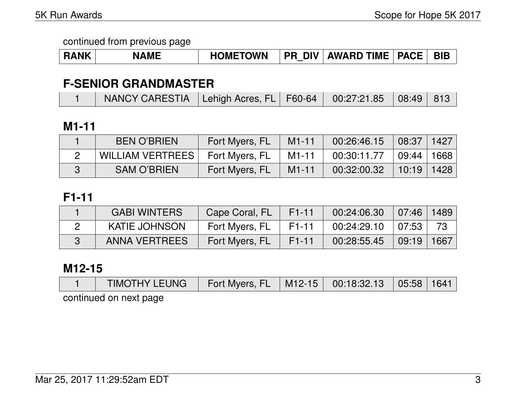| <b>RANK</b> | <b>NAME</b> | <b>HOMETOWN</b> |  | <b>PR DIV AWARD TIME PACE</b> |  | <b>BIB</b> |
|-------------|-------------|-----------------|--|-------------------------------|--|------------|
|-------------|-------------|-----------------|--|-------------------------------|--|------------|

## **F-SENIOR GRANDMASTER**

| NANCY CARESTIA   Lehigh Acres, FL   F60-64   00:27:21.85   08:49   813 |
|------------------------------------------------------------------------|
|------------------------------------------------------------------------|

## **M1-11**

| <b>BEN O'BRIEN</b>      | Fort Myers, FL | $M1-11$ | 00:26:46.15 | 08:37                              | 1427 |
|-------------------------|----------------|---------|-------------|------------------------------------|------|
| <b>WILLIAM VERTREES</b> | Fort Myers, FL | M1-11   | 00:30:11.77 | $\vert$ 09:44 $\vert$ 1668 $\vert$ |      |
| <b>SAM O'BRIEN</b>      | Fort Myers, FL | $M1-11$ | 00:32:00.32 | 10:19 1428                         |      |

## **F1-11**

| <b>GABI WINTERS</b>  | Cape Coral, FL | F <sub>1</sub> -11 | 00:24:06.30 | $\mid$ 07:46   1489  |    |
|----------------------|----------------|--------------------|-------------|----------------------|----|
| <b>KATIE JOHNSON</b> | Fort Myers, FL | F1-11              | 00:24:29.10 | $\mid$ 07:53 $\mid$  | 73 |
| <b>ANNA VERTREES</b> | Fort Myers, FL | $F1-11$            | 00:28:55.45 | $\vert$ 09:19   1667 |    |

## **M12-15**

| <b>TIMOTHY LEUNG</b>   | Fort Myers, FL   M12-15   00:18:32.13   05:58   1641 |  |  |
|------------------------|------------------------------------------------------|--|--|
| continued on next page |                                                      |  |  |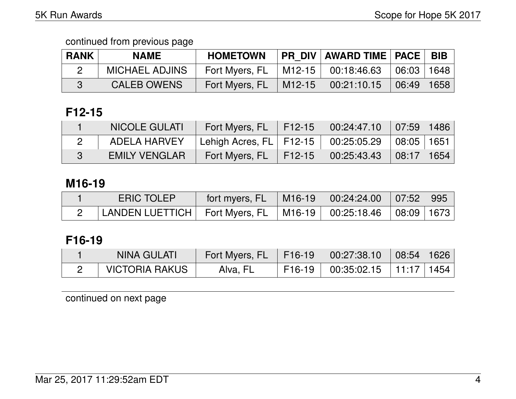| <b>RANK</b> | <b>NAME</b>           | <b>HOMETOWN</b> |                      | PR DIV   AWARD TIME   PACE |            | <b>BIB</b> |
|-------------|-----------------------|-----------------|----------------------|----------------------------|------------|------------|
|             | <b>MICHAEL ADJINS</b> | Fort Myers, FL  | $ $ M12-15 $ $       | 00:18:46.63                | 06:03 1648 |            |
|             | <b>CALEB OWENS</b>    | Fort Myers, FL  | $\mid$ M12-15 $\mid$ | 00:21:10.15                | 06:49 1658 |            |

# **F12-15**

| <b>NICOLE GULATI</b> | Fort Myers, FL F12-15 00:24:47.10 07:59 1486 |                                                         |  |
|----------------------|----------------------------------------------|---------------------------------------------------------|--|
| ADELA HARVEY         |                                              |                                                         |  |
| <b>EMILY VENGLAR</b> | Fort Myers, FL                               | $\vert$ F12-15 $\vert$ 00:25:43.43 $\vert$ 08:17   1654 |  |

## **M16-19**

| <b>ERIC TOLEP</b>                                                      | fort myers, FL $\parallel$ M16-19 $\parallel$ 00:24:24.00 $\parallel$ 07:52 $\parallel$ 995 |  |  |
|------------------------------------------------------------------------|---------------------------------------------------------------------------------------------|--|--|
| LANDEN LUETTICH   Fort Myers, FL   M16-19   00:25:18.46   08:09   1673 |                                                                                             |  |  |

# **F16-19**

| NINA GULATI    | Fort Myers, FL   F16-19 |          | $\begin{array}{ c c c c c c c c } \hline \quad00:27:38.10 & 08:54 & 1626 \ \hline \end{array}$ |  |
|----------------|-------------------------|----------|------------------------------------------------------------------------------------------------|--|
| VICTORIA RAKUS | Alva, FL                | $F16-19$ | $00:35:02.15$   11:17   1454                                                                   |  |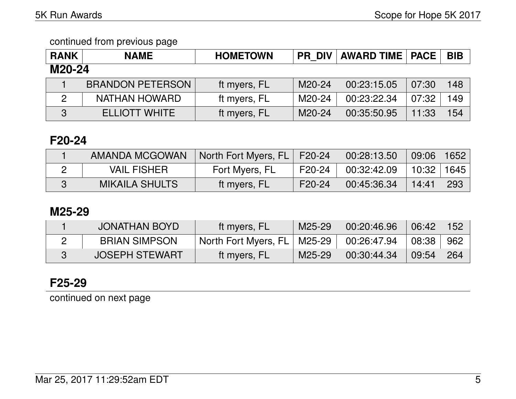| <b>RANK</b> | <b>NAME</b>             | <b>HOMETOWN</b> |        | <b>PR DIV   AWARD TIME   PACE</b> |       | <b>BIB</b> |  |  |
|-------------|-------------------------|-----------------|--------|-----------------------------------|-------|------------|--|--|
| M20-24      |                         |                 |        |                                   |       |            |  |  |
|             | <b>BRANDON PETERSON</b> | ft myers, FL    | M20-24 | 00:23:15.05                       | 07:30 | 148        |  |  |
|             | <b>NATHAN HOWARD</b>    | ft myers, FL    | M20-24 | 00:23:22.34                       | 07:32 | 149        |  |  |
| 3           | <b>ELLIOTT WHITE</b>    | ft myers, FL    | M20-24 | 00:35:50.95                       | 11:33 | 154        |  |  |

### **F20-24**

| <b>AMANDA MCGOWAN</b> | North Fort Myers, FL   F20-24 |          | 00:28:13.50                    | 09:06        | 1652 |
|-----------------------|-------------------------------|----------|--------------------------------|--------------|------|
| <b>VAIL FISHER</b>    | Fort Myers, FL                | F20-24 I | $\vert\phantom{0}00.32$ :42.09 | 10:32   1645 |      |
| <b>MIKAILA SHULTS</b> | ∖ft myers, FL∖                | F20-24   | 00:45:36.34                    | 14:41        | 293  |

## **M25-29**

| JONATHAN BOYD         | ft myers, FL                  | $M25-29$ | 00:20:46.96 | 06:42      | 152  |
|-----------------------|-------------------------------|----------|-------------|------------|------|
| <b>BRIAN SIMPSON</b>  | North Fort Myers, FL   M25-29 |          | 00:26:47.94 | $+08:38 +$ | -962 |
| <b>JOSEPH STEWART</b> | ft myers, FL                  | M25-29 \ | 00:30:44.34 | 09:54      | 264  |

## **F25-29**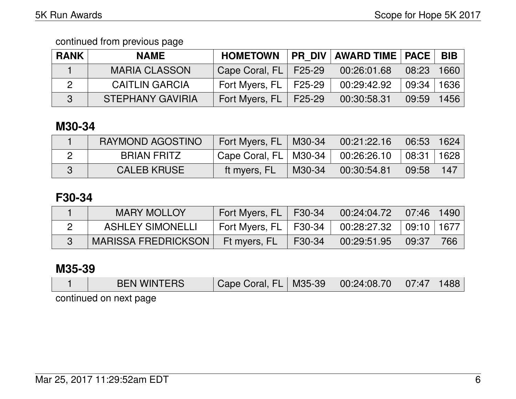| <b>RANK</b>  | <b>NAME</b>             | <b>HOMETOWN</b>           | <b>PR DIV AWARD TIME   PACE  </b> |       | <b>BIB</b> |
|--------------|-------------------------|---------------------------|-----------------------------------|-------|------------|
|              | <b>MARIA CLASSON</b>    | Cape Coral, FL   F25-29   | 00:26:01.68                       | 08:23 | 1660       |
| $\mathbf{2}$ | <b>CAITLIN GARCIA</b>   | Fort Myers, $FL$   F25-29 | 00:29:42.92                       | 09:34 | 1636       |
|              | <b>STEPHANY GAVIRIA</b> | Fort Myers, $FL$   F25-29 | 00:30:58.31                       | 09:59 | 1456       |

## **M30-34**

| RAYMOND AGOSTINO   | Fort Myers, FL   M30-34   |        | 00:21:22.16 | $06:53$   1624 |     |
|--------------------|---------------------------|--------|-------------|----------------|-----|
| BRIAN FRITZ        | Cape Coral, $FL$   M30-34 |        | 00:26:26.10 | 08:31 1628     |     |
| <b>CALEB KRUSE</b> | tt myers, FL              | M30-34 | 00:30:54.81 | 09:58          | 147 |

## **F30-34**

| <b>MARY MOLLOY</b>         | Fort Myers, FL   F30-34                              |        | $00:24:04.72$ 07:46 1490 |     |
|----------------------------|------------------------------------------------------|--------|--------------------------|-----|
| <b>ASHLEY SIMONELLI</b>    | Fort Myers, FL   F30-34   00:28:27.32   09:10   1677 |        |                          |     |
| <b>MARISSA FREDRICKSON</b> | Ft myers, FL                                         | F30-34 | $00:29:51.95$ 09:37      | 766 |

## **M35-39**

| <b>BEN WINTERS</b>     | $\mid$ Cape Coral, FL $\mid$ M35-39 $\mid$ |  | $\begin{array}{ c c }\hline \text{00:24:08.70} \hline \end{array}$ | 07:47 |  |  |  |  |  |
|------------------------|--------------------------------------------|--|--------------------------------------------------------------------|-------|--|--|--|--|--|
| continued on novt none |                                            |  |                                                                    |       |  |  |  |  |  |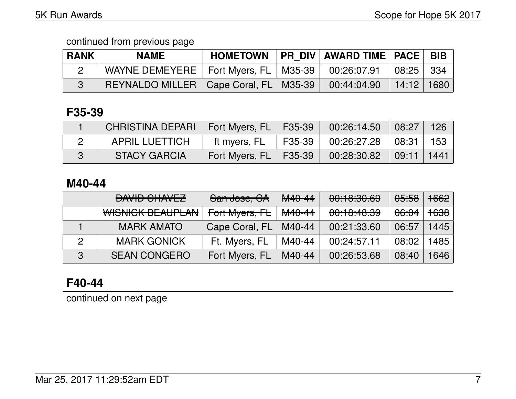| <b>RANK</b> | <b>NAME</b>                                                          | <b>HOMETOWN</b> | <b>PR DIV AWARD TIME   PACE   BIB</b> |                |  |
|-------------|----------------------------------------------------------------------|-----------------|---------------------------------------|----------------|--|
|             | WAYNE DEMEYERE   Fort Myers, FL   M35-39   00:26:07.91   08:25   334 |                 |                                       |                |  |
|             | REYNALDO MILLER   Cape Coral, FL   M35-39                            |                 | 00:44:04.90                           | $14:12$   1680 |  |

## **F35-39**

| CHRISTINA DEPARI   Fort Myers, FL   F35-39   00:26:14.50   08:27   126 |                                       |                                    |                     |  |
|------------------------------------------------------------------------|---------------------------------------|------------------------------------|---------------------|--|
| APRIL LUETTICH                                                         | ft myers, FL                          | F35-39   00:26:27.28   08:31   153 |                     |  |
| <b>STACY GARCIA</b>                                                    | Fort Myers, FL   F35-39   00:28:30.82 |                                    | $\mid$ 09:11   1441 |  |

### **M40-44**

|              | DAVID CHAVEZ<br>UAVIU VIIVLZ | San Jose, CA   | <del>M40-44</del> | 00:10:30.69 | <del>05:58</del> | $+662$          |
|--------------|------------------------------|----------------|-------------------|-------------|------------------|-----------------|
|              | WISNICK BEAUPLAN             | Fort Myers, FL | M40-44            | 00:10:40.39 | <del>06:04</del> | <del>1638</del> |
|              | <b>MARK AMATO</b>            | Cape Coral, FL | M40-44            | 00:21:33.60 | 06:57            | 1445            |
|              | <b>MARK GONICK</b>           | Ft. Myers, FL  | M40-44            | 00:24:57.11 | 08:02            | 1485            |
| $\mathbf{3}$ | <b>SEAN CONGERO</b>          | Fort Myers, FL | M40-44            | 00:26:53.68 | 08:40            | 1646            |

## **F40-44**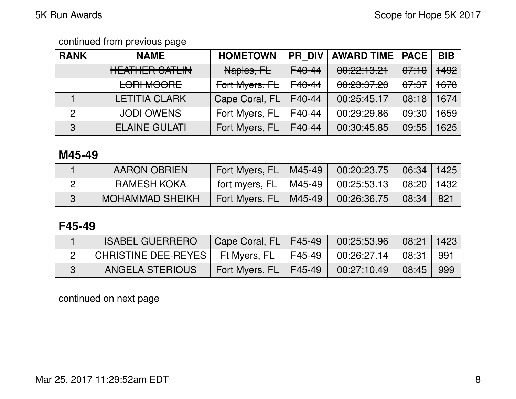| <b>RANK</b>    | <b>NAME</b>                                            | <b>HOMETOWN</b>           | <b>PR DIV</b>      | <b>AWARD TIME   PACE</b>                  |                  | <b>BIB</b>      |
|----------------|--------------------------------------------------------|---------------------------|--------------------|-------------------------------------------|------------------|-----------------|
|                | <u>LIE ATLIED OATLINI</u><br><b>TILAITILII VALLIIV</b> | Naples, FL                | $F40 - 44$         | 0.00.10.11<br>0, 2, 1, 0, 1               | 07.10            | 1492            |
|                | <b>LORI MOORE</b>                                      | <del>Fort Myers, FL</del> | F <sub>40-44</sub> | <u>AA.AA.A7 AA</u><br><del>uu.cu.uu</del> | <del>07:37</del> | <del>1678</del> |
|                | <b>LETITIA CLARK</b>                                   | Cape Coral, FL            | F40-44             | 00:25:45.17                               | 08:18            | 1674            |
| $\overline{2}$ | <b>JODI OWENS</b>                                      | Fort Myers, FL            | F40-44             | 00:29:29.86                               | 09:30            | 1659            |
| 3              | <b>ELAINE GULATI</b>                                   | Fort Myers, FL            | F40-44             | 00:30:45.85                               | 09:55            | 625             |

### **M45-49**

| <b>AARON OBRIEN</b>    | Fort Myers, FL   M45-49                              | $\begin{array}{ c c c c c c c c } \hline 00:20:23.75 & 06:34 & 1425 \hline \end{array}$ |     |
|------------------------|------------------------------------------------------|-----------------------------------------------------------------------------------------|-----|
| <b>RAMESH KOKA</b>     | fort myers, FL   M45-49   00:25:53.13   08:20   1432 |                                                                                         |     |
| <b>MOHAMMAD SHEIKH</b> | Fort Myers, FL   M45-49                              | $\mid$ 00:26:36.75 $\mid$ 08:34 $\mid$                                                  | 821 |

## **F45-49**

| <b>ISABEL GUERRERO</b>             | Cape Coral, FL   F45-49 |        | 00:25:53.96 | $\mid$ 08:21   1423   |       |
|------------------------------------|-------------------------|--------|-------------|-----------------------|-------|
| CHRISTINE DEE-REYES   Ft Myers, FL |                         | F45-49 | 00:26:27.14 | $\vert$ 08:31 $\vert$ | - 991 |
| <b>ANGELA STERIOUS</b>             | Fort Myers, FL   F45-49 |        | 00:27:10.49 | 08:45                 | 999   |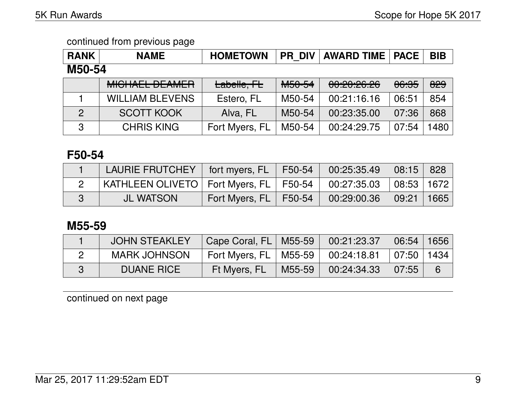| <b>RANK</b>   | <b>NAME</b>                                 | <b>HOMETOWN</b> |                    | <b>PR DIV   AWARD TIME   PACE  </b>           |                  | <b>BIB</b> |  |  |
|---------------|---------------------------------------------|-----------------|--------------------|-----------------------------------------------|------------------|------------|--|--|
| M50-54        |                                             |                 |                    |                                               |                  |            |  |  |
|               | <u>MIQUAEL DE AMED</u><br>MIUI IALL DLAWLIT | Labelle, FL     | M <sub>50-54</sub> | <u>aa.ga.go go </u><br><del>00.20.20.20</del> | <del>06:35</del> | 829        |  |  |
|               | <b>WILLIAM BLEVENS</b>                      | Estero, FL      | M50-54             | 00:21:16.16                                   | 06:51            | 854        |  |  |
| $\mathcal{P}$ | <b>SCOTT KOOK</b>                           | Alva, FL        | M50-54             | 00:23:35.00                                   | 07:36            | 868        |  |  |

3 CHRIS KING Fort Myers, FL | M50-54 | 00:24:29.75 | 07:54 | 1480

### **F50-54**

| LAURIE FRUTCHEY   fort myers, FL   F50-54   00:25:35.49   08:15   828   |                                                      |  |  |
|-------------------------------------------------------------------------|------------------------------------------------------|--|--|
| KATHLEEN OLIVETO   Fort Myers, FL   F50-54   00:27:35.03   08:53   1672 |                                                      |  |  |
| <b>JL WATSON</b>                                                        | Fort Myers, FL   F50-54   00:29:00.36   09:21   1665 |  |  |

### **M55-59**

| <b>JOHN STEAKLEY</b> | Cape Coral, FL   M55-59               |        | 00:21:23.37 | 06:54   1656                    |   |
|----------------------|---------------------------------------|--------|-------------|---------------------------------|---|
| <b>MARK JOHNSON</b>  | Fort Myers, FL   M55-59   00:24:18.81 |        |             | $\mid$ 07:50 $\mid$ 1434 $\mid$ |   |
| <b>DUANE RICE</b>    | Ft Myers, FL                          | M55-59 | 00:24:34.33 | 07:55                           | 6 |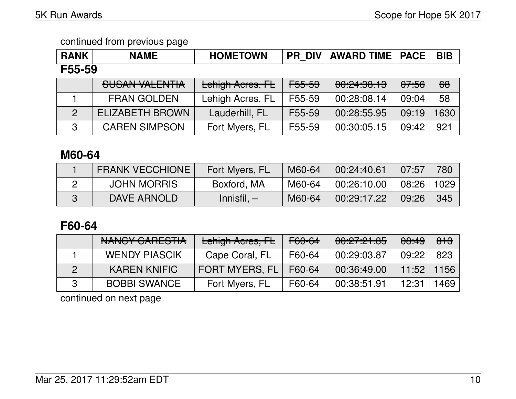| <b>RANK</b>    | <b>NAME</b>            | <b>HOMETOWN</b>         | <b>PR DIV</b>     | <b>AWARD TIME   PACE  </b> |                  | <b>BIB</b> |  |  |
|----------------|------------------------|-------------------------|-------------------|----------------------------|------------------|------------|--|--|
| F55-59         |                        |                         |                   |                            |                  |            |  |  |
|                | SUSAN VALENTIA         | <b>Lehigh Acres, FL</b> | <del>F55-59</del> | 00:24:30.13                | <del>07:56</del> | $\theta$   |  |  |
|                | <b>FRAN GOLDEN</b>     | Lehigh Acres, FL        | F55-59            | 00:28:08.14                | 09:04            | 58         |  |  |
| $\overline{2}$ | <b>ELIZABETH BROWN</b> | Lauderhill, FL          | F55-59            | 00:28:55.95                | 09:19            | 1630       |  |  |
| 3              | <b>CAREN SIMPSON</b>   | Fort Myers, FL          | F55-59            | 00:30:05.15                | 09:42            | 921        |  |  |

## **M60-64**

| <b>FRANK VECCHIONE !</b> | Fort Myers, FL | M60-64 | 00:24:40.61 | 07:57        | 780 |
|--------------------------|----------------|--------|-------------|--------------|-----|
| <b>JOHN MORRIS</b>       | Boxford, MA    | M60-64 | 00:26:10.00 | 08:26   1029 |     |
| DAVE ARNOLD              | $Innistil, -$  | M60-64 | 00:29:17.22 | 09:26        | 345 |

## **F60-64**

| NANCY CARESTIA       | Lehigh Acres, FL      | F60-64 | 00:27:21.85 | 00:49 | 813  |
|----------------------|-----------------------|--------|-------------|-------|------|
| <b>WENDY PIASCIK</b> | Cape Coral, FL        | F60-64 | 00:29:03.87 | 09:22 | 823  |
| <b>KAREN KNIFIC</b>  | <b>FORT MYERS, FL</b> | F60-64 | 00:36:49.00 | 11:52 | 1156 |
| <b>BOBBI SWANCE</b>  | Fort Myers, FL        | F60-64 | 00:38:51.91 | 12:31 | 1469 |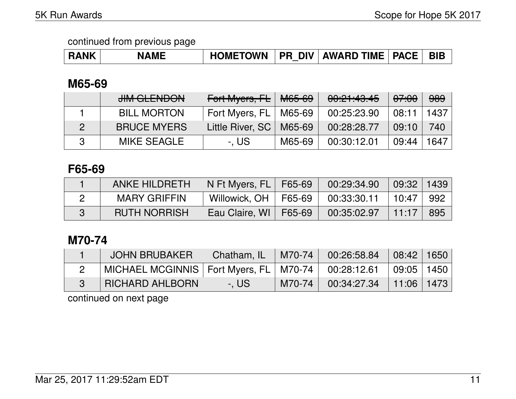## **M65-69**

| <b>JIM GLENDON</b> | Fort Myers, FL   M65-69      |        | 00:21:43.45 | <del>07:00</del> | 989  |
|--------------------|------------------------------|--------|-------------|------------------|------|
| <b>BILL MORTON</b> | Fort Myers, $FL \mid M65-69$ |        | 00:25:23.90 | 08:11            | 1437 |
| <b>BRUCE MYERS</b> | Little River, SC   M65-69    |        | 00:28:28.77 | 09:10            | 740  |
| MIKE SEAGLE        | -. US                        | M65-69 | 00:30:12.01 | 09:44            | 1647 |

## **F65-69**

| <b>ANKE HILDRETH</b> | N Ft Myers, FL   F65-69 | 00:29:34.90 | $09:32$   1439 |       |
|----------------------|-------------------------|-------------|----------------|-------|
| <b>MARY GRIFFIN</b>  | Willowick, OH   F65-69  | 00:33:30.11 | 10:47          | ∣ 992 |
| <b>RUTH NORRISH</b>  | Eau Claire, WI   F65-69 | 00:35:02.97 | 11:17          | - 895 |

## **M70-74**

| JOHN BRUBAKER                                                           | Chatham, IL | $M70-74$ | 00:26:58.84 | 08:42   1650 |  |
|-------------------------------------------------------------------------|-------------|----------|-------------|--------------|--|
| MICHAEL MCGINNIS   Fort Myers, FL   M70-74   00:28:12.61   09:05   1450 |             |          |             |              |  |
| <b>RICHARD AHLBORN</b>                                                  | -. US       | M70-74   | 00:34:27.34 | 11:06   1473 |  |